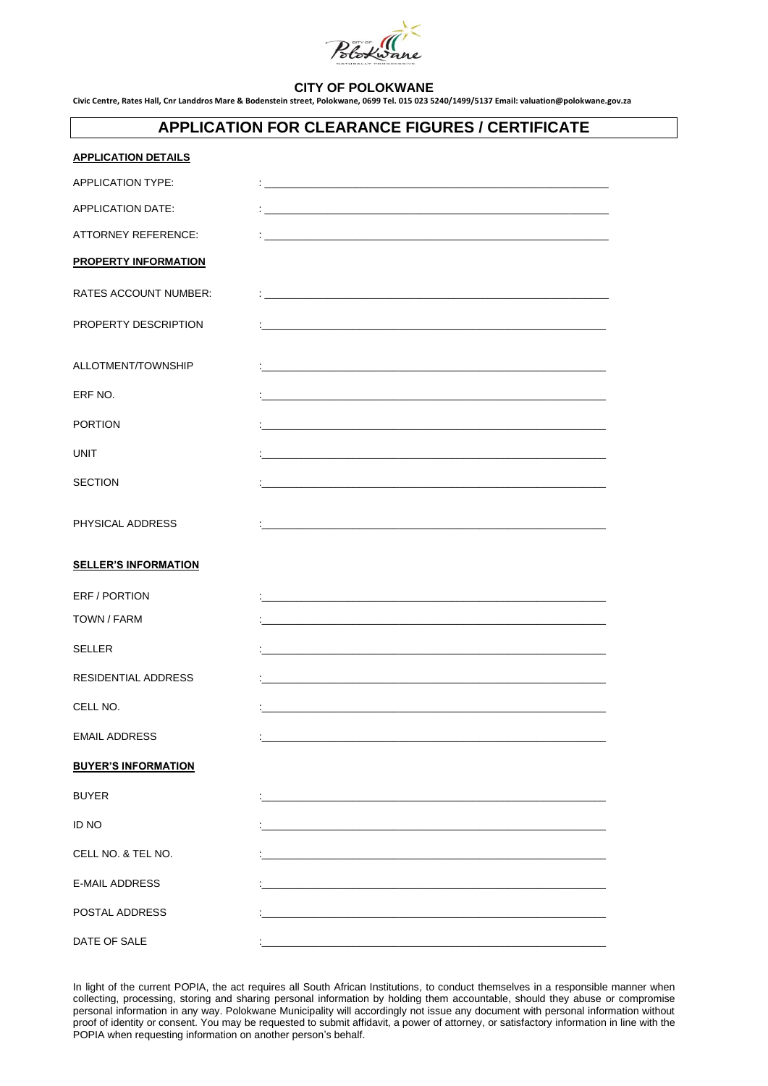

## **CITY OF POLOKWANE**

**Civic Centre, Rates Hall, Cnr Landdros Mare & Bodenstein street, Polokwane, 0699 Tel. 015 023 5240/1499/5137 Email: valuation@polokwane.gov.za**

## **APPLICATION FOR CLEARANCE FIGURES / CERTIFICATE**

| <b>APPLICATION DETAILS</b>   |                                                                                                                                                                                                                                   |
|------------------------------|-----------------------------------------------------------------------------------------------------------------------------------------------------------------------------------------------------------------------------------|
| APPLICATION TYPE:            | $\frac{1}{2}$ . The contract of the contract of the contract of the contract of the contract of the contract of the contract of the contract of the contract of the contract of the contract of the contract of the contract of t |
| <b>APPLICATION DATE:</b>     |                                                                                                                                                                                                                                   |
| ATTORNEY REFERENCE:          |                                                                                                                                                                                                                                   |
| <b>PROPERTY INFORMATION</b>  |                                                                                                                                                                                                                                   |
| <b>RATES ACCOUNT NUMBER:</b> |                                                                                                                                                                                                                                   |
| PROPERTY DESCRIPTION         | <u> 1989 - Johann Stoff, amerikansk politiker (d. 1989)</u>                                                                                                                                                                       |
| ALLOTMENT/TOWNSHIP           |                                                                                                                                                                                                                                   |
| ERF NO.                      |                                                                                                                                                                                                                                   |
| <b>PORTION</b>               |                                                                                                                                                                                                                                   |
| <b>UNIT</b>                  |                                                                                                                                                                                                                                   |
| <b>SECTION</b>               |                                                                                                                                                                                                                                   |
| PHYSICAL ADDRESS             |                                                                                                                                                                                                                                   |
| <b>SELLER'S INFORMATION</b>  |                                                                                                                                                                                                                                   |
| ERF / PORTION                |                                                                                                                                                                                                                                   |
| <b>TOWN / FARM</b>           | <u> 1989 - Johann Stoff, amerikansk politiker (d. 1989)</u>                                                                                                                                                                       |
| <b>SELLER</b>                | <u> 1989 - Johann Stoff, amerikansk politiker (d. 1989)</u>                                                                                                                                                                       |
| <b>RESIDENTIAL ADDRESS</b>   | and the control of the control of the control of the control of the control of the control of the control of the                                                                                                                  |
| CELL NO.                     |                                                                                                                                                                                                                                   |
| <b>EMAIL ADDRESS</b>         |                                                                                                                                                                                                                                   |
| <b>BUYER'S INFORMATION</b>   |                                                                                                                                                                                                                                   |
| <b>BUYER</b>                 |                                                                                                                                                                                                                                   |
| <b>ID NO</b>                 |                                                                                                                                                                                                                                   |
| CELL NO. & TEL NO.           |                                                                                                                                                                                                                                   |
| E-MAIL ADDRESS               |                                                                                                                                                                                                                                   |
| POSTAL ADDRESS               |                                                                                                                                                                                                                                   |
| DATE OF SALE                 |                                                                                                                                                                                                                                   |

In light of the current POPIA, the act requires all South African Institutions, to conduct themselves in a responsible manner when collecting, processing, storing and sharing personal information by holding them accountable, should they abuse or compromise personal information in any way. Polokwane Municipality will accordingly not issue any document with personal information without proof of identity or consent. You may be requested to submit affidavit, a power of attorney, or satisfactory information in line with the POPIA when requesting information on another person's behalf.